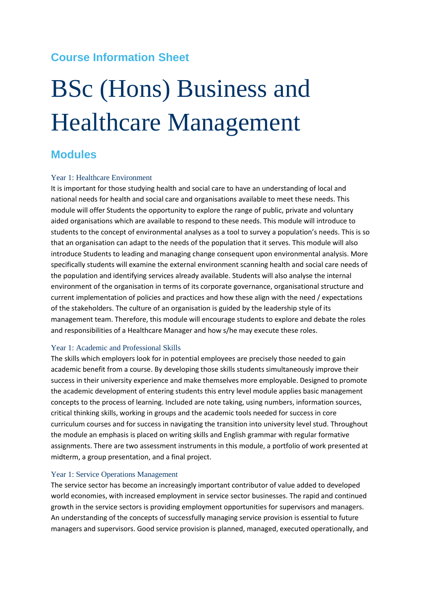# **Course Information Sheet**

# BSc (Hons) Business and Healthcare Management

# **Modules**

# Year 1: Healthcare Environment

It is important for those studying health and social care to have an understanding of local and national needs for health and social care and organisations available to meet these needs. This module will offer Students the opportunity to explore the range of public, private and voluntary aided organisations which are available to respond to these needs. This module will introduce to students to the concept of environmental analyses as a tool to survey a population's needs. This is so that an organisation can adapt to the needs of the population that it serves. This module will also introduce Students to leading and managing change consequent upon environmental analysis. More specifically students will examine the external environment scanning health and social care needs of the population and identifying services already available. Students will also analyse the internal environment of the organisation in terms of its corporate governance, organisational structure and current implementation of policies and practices and how these align with the need / expectations of the stakeholders. The culture of an organisation is guided by the leadership style of its management team. Therefore, this module will encourage students to explore and debate the roles and responsibilities of a Healthcare Manager and how s/he may execute these roles.

## Year 1: Academic and Professional Skills

The skills which employers look for in potential employees are precisely those needed to gain academic benefit from a course. By developing those skills students simultaneously improve their success in their university experience and make themselves more employable. Designed to promote the academic development of entering students this entry level module applies basic management concepts to the process of learning. Included are note taking, using numbers, information sources, critical thinking skills, working in groups and the academic tools needed for success in core curriculum courses and for success in navigating the transition into university level stud. Throughout the module an emphasis is placed on writing skills and English grammar with regular formative assignments. There are two assessment instruments in this module, a portfolio of work presented at midterm, a group presentation, and a final project.

## Year 1: Service Operations Management

The service sector has become an increasingly important contributor of value added to developed world economies, with increased employment in service sector businesses. The rapid and continued growth in the service sectors is providing employment opportunities for supervisors and managers. An understanding of the concepts of successfully managing service provision is essential to future managers and supervisors. Good service provision is planned, managed, executed operationally, and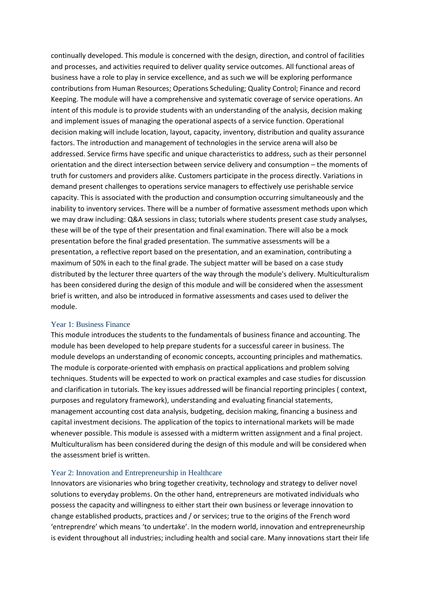continually developed. This module is concerned with the design, direction, and control of facilities and processes, and activities required to deliver quality service outcomes. All functional areas of business have a role to play in service excellence, and as such we will be exploring performance contributions from Human Resources; Operations Scheduling; Quality Control; Finance and record Keeping. The module will have a comprehensive and systematic coverage of service operations. An intent of this module is to provide students with an understanding of the analysis, decision making and implement issues of managing the operational aspects of a service function. Operational decision making will include location, layout, capacity, inventory, distribution and quality assurance factors. The introduction and management of technologies in the service arena will also be addressed. Service firms have specific and unique characteristics to address, such as their personnel orientation and the direct intersection between service delivery and consumption – the moments of truth for customers and providers alike. Customers participate in the process directly. Variations in demand present challenges to operations service managers to effectively use perishable service capacity. This is associated with the production and consumption occurring simultaneously and the inability to inventory services. There will be a number of formative assessment methods upon which we may draw including: Q&A sessions in class; tutorials where students present case study analyses, these will be of the type of their presentation and final examination. There will also be a mock presentation before the final graded presentation. The summative assessments will be a presentation, a reflective report based on the presentation, and an examination, contributing a maximum of 50% in each to the final grade. The subject matter will be based on a case study distributed by the lecturer three quarters of the way through the module's delivery. Multiculturalism has been considered during the design of this module and will be considered when the assessment brief is written, and also be introduced in formative assessments and cases used to deliver the module.

#### Year 1: Business Finance

This module introduces the students to the fundamentals of business finance and accounting. The module has been developed to help prepare students for a successful career in business. The module develops an understanding of economic concepts, accounting principles and mathematics. The module is corporate-oriented with emphasis on practical applications and problem solving techniques. Students will be expected to work on practical examples and case studies for discussion and clarification in tutorials. The key issues addressed will be financial reporting principles ( context, purposes and regulatory framework), understanding and evaluating financial statements, management accounting cost data analysis, budgeting, decision making, financing a business and capital investment decisions. The application of the topics to international markets will be made whenever possible. This module is assessed with a midterm written assignment and a final project. Multiculturalism has been considered during the design of this module and will be considered when the assessment brief is written.

#### Year 2: Innovation and Entrepreneurship in Healthcare

Innovators are visionaries who bring together creativity, technology and strategy to deliver novel solutions to everyday problems. On the other hand, entrepreneurs are motivated individuals who possess the capacity and willingness to either start their own business or leverage innovation to change established products, practices and / or services; true to the origins of the French word 'entreprendre' which means 'to undertake'. In the modern world, innovation and entrepreneurship is evident throughout all industries; including health and social care. Many innovations start their life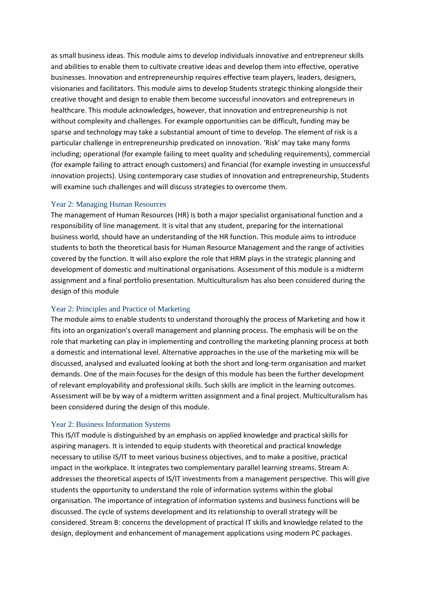as small business ideas. This module aims to develop individuals innovative and entrepreneur skills and abilities to enable them to cultivate creative ideas and develop them into effective, operative businesses. Innovation and entrepreneurship requires effective team players, leaders, designers, visionaries and facilitators. This module aims to develop Students strategic thinking alongside their creative thought and design to enable them become successful innovators and entrepreneurs in healthcare. This module acknowledges, however, that innovation and entrepreneurship is not without complexity and challenges. For example opportunities can be difficult, funding may be sparse and technology may take a substantial amount of time to develop. The element of risk is a particular challenge in entrepreneurship predicated on innovation. 'Risk' may take many forms including; operational (for example failing to meet quality and scheduling requirements), commercial (for example failing to attract enough customers) and financial (for example investing in unsuccessful innovation projects). Using contemporary case studies of innovation and entrepreneurship, Students will examine such challenges and will discuss strategies to overcome them.

## Year 2: Managing Human Resources

The management of Human Resources (HR) is both a major specialist organisational function and a responsibility of line management. It is vital that any student, preparing for the international business world, should have an understanding of the HR function. This module aims to introduce students to both the theoretical basis for Human Resource Management and the range of activities covered by the function. It will also explore the role that HRM plays in the strategic planning and development of domestic and multinational organisations. Assessment of this module is a midterm assignment and a final portfolio presentation. Multiculturalism has also been considered during the design of this module

# Year 2: Principles and Practice of Marketing

The module aims to enable students to understand thoroughly the process of Marketing and how it fits into an organization's overall management and planning process. The emphasis will be on the role that marketing can play in implementing and controlling the marketing planning process at both a domestic and international level. Alternative approaches in the use of the marketing mix will be discussed, analysed and evaluated looking at both the short and long-term organisation and market demands. One of the main focuses for the design of this module has been the further development of relevant employability and professional skills. Such skills are implicit in the learning outcomes. Assessment will be by way of a midterm written assignment and a final project. Multiculturalism has been considered during the design of this module.

## Year 2: Business Information Systems

This IS/IT module is distinguished by an emphasis on applied knowledge and practical skills for aspiring managers. It is intended to equip students with theoretical and practical knowledge necessary to utilise IS/IT to meet various business objectives, and to make a positive, practical impact in the workplace. It integrates two complementary parallel learning streams. Stream A: addresses the theoretical aspects of IS/IT investments from a management perspective. This will give students the opportunity to understand the role of information systems within the global organisation. The importance of integration of information systems and business functions will be discussed. The cycle of systems development and its relationship to overall strategy will be considered. Stream B: concerns the development of practical IT skills and knowledge related to the design, deployment and enhancement of management applications using modern PC packages.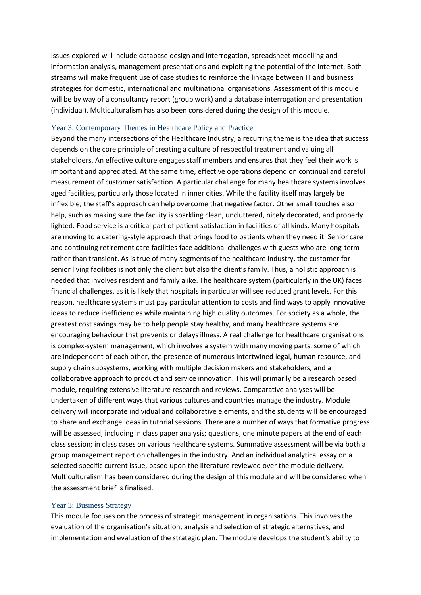Issues explored will include database design and interrogation, spreadsheet modelling and information analysis, management presentations and exploiting the potential of the internet. Both streams will make frequent use of case studies to reinforce the linkage between IT and business strategies for domestic, international and multinational organisations. Assessment of this module will be by way of a consultancy report (group work) and a database interrogation and presentation (individual). Multiculturalism has also been considered during the design of this module.

#### Year 3: Contemporary Themes in Healthcare Policy and Practice

Beyond the many intersections of the Healthcare Industry, a recurring theme is the idea that success depends on the core principle of creating a culture of respectful treatment and valuing all stakeholders. An effective culture engages staff members and ensures that they feel their work is important and appreciated. At the same time, effective operations depend on continual and careful measurement of customer satisfaction. A particular challenge for many healthcare systems involves aged facilities, particularly those located in inner cities. While the facility itself may largely be inflexible, the staff's approach can help overcome that negative factor. Other small touches also help, such as making sure the facility is sparkling clean, uncluttered, nicely decorated, and properly lighted. Food service is a critical part of patient satisfaction in facilities of all kinds. Many hospitals are moving to a catering-style approach that brings food to patients when they need it. Senior care and continuing retirement care facilities face additional challenges with guests who are long-term rather than transient. As is true of many segments of the healthcare industry, the customer for senior living facilities is not only the client but also the client's family. Thus, a holistic approach is needed that involves resident and family alike. The healthcare system (particularly in the UK) faces financial challenges, as it is likely that hospitals in particular will see reduced grant levels. For this reason, healthcare systems must pay particular attention to costs and find ways to apply innovative ideas to reduce inefficiencies while maintaining high quality outcomes. For society as a whole, the greatest cost savings may be to help people stay healthy, and many healthcare systems are encouraging behaviour that prevents or delays illness. A real challenge for healthcare organisations is complex-system management, which involves a system with many moving parts, some of which are independent of each other, the presence of numerous intertwined legal, human resource, and supply chain subsystems, working with multiple decision makers and stakeholders, and a collaborative approach to product and service innovation. This will primarily be a research based module, requiring extensive literature research and reviews. Comparative analyses will be undertaken of different ways that various cultures and countries manage the industry. Module delivery will incorporate individual and collaborative elements, and the students will be encouraged to share and exchange ideas in tutorial sessions. There are a number of ways that formative progress will be assessed, including in class paper analysis; questions; one minute papers at the end of each class session; in class cases on various healthcare systems. Summative assessment will be via both a group management report on challenges in the industry. And an individual analytical essay on a selected specific current issue, based upon the literature reviewed over the module delivery. Multiculturalism has been considered during the design of this module and will be considered when the assessment brief is finalised.

#### Year 3: Business Strategy

This module focuses on the process of strategic management in organisations. This involves the evaluation of the organisation's situation, analysis and selection of strategic alternatives, and implementation and evaluation of the strategic plan. The module develops the student's ability to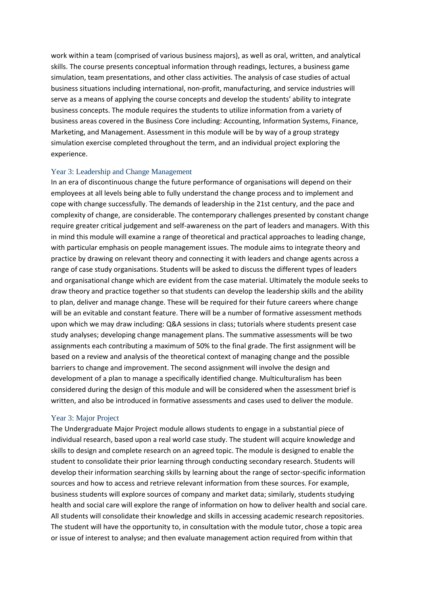work within a team (comprised of various business majors), as well as oral, written, and analytical skills. The course presents conceptual information through readings, lectures, a business game simulation, team presentations, and other class activities. The analysis of case studies of actual business situations including international, non-profit, manufacturing, and service industries will serve as a means of applying the course concepts and develop the students' ability to integrate business concepts. The module requires the students to utilize information from a variety of business areas covered in the Business Core including: Accounting, Information Systems, Finance, Marketing, and Management. Assessment in this module will be by way of a group strategy simulation exercise completed throughout the term, and an individual project exploring the experience.

#### Year 3: Leadership and Change Management

In an era of discontinuous change the future performance of organisations will depend on their employees at all levels being able to fully understand the change process and to implement and cope with change successfully. The demands of leadership in the 21st century, and the pace and complexity of change, are considerable. The contemporary challenges presented by constant change require greater critical judgement and self-awareness on the part of leaders and managers. With this in mind this module will examine a range of theoretical and practical approaches to leading change, with particular emphasis on people management issues. The module aims to integrate theory and practice by drawing on relevant theory and connecting it with leaders and change agents across a range of case study organisations. Students will be asked to discuss the different types of leaders and organisational change which are evident from the case material. Ultimately the module seeks to draw theory and practice together so that students can develop the leadership skills and the ability to plan, deliver and manage change. These will be required for their future careers where change will be an evitable and constant feature. There will be a number of formative assessment methods upon which we may draw including: Q&A sessions in class; tutorials where students present case study analyses; developing change management plans. The summative assessments will be two assignments each contributing a maximum of 50% to the final grade. The first assignment will be based on a review and analysis of the theoretical context of managing change and the possible barriers to change and improvement. The second assignment will involve the design and development of a plan to manage a specifically identified change. Multiculturalism has been considered during the design of this module and will be considered when the assessment brief is written, and also be introduced in formative assessments and cases used to deliver the module.

#### Year 3: Major Project

The Undergraduate Major Project module allows students to engage in a substantial piece of individual research, based upon a real world case study. The student will acquire knowledge and skills to design and complete research on an agreed topic. The module is designed to enable the student to consolidate their prior learning through conducting secondary research. Students will develop their information searching skills by learning about the range of sector-specific information sources and how to access and retrieve relevant information from these sources. For example, business students will explore sources of company and market data; similarly, students studying health and social care will explore the range of information on how to deliver health and social care. All students will consolidate their knowledge and skills in accessing academic research repositories. The student will have the opportunity to, in consultation with the module tutor, chose a topic area or issue of interest to analyse; and then evaluate management action required from within that